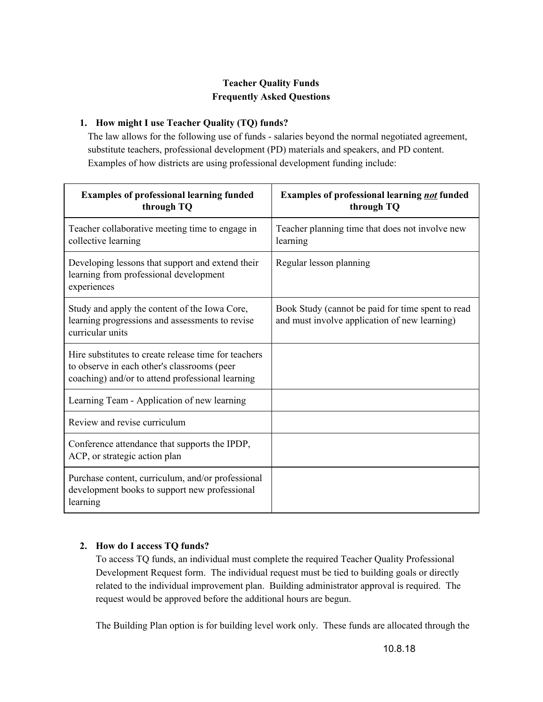# **Teacher Quality Funds Frequently Asked Questions**

## **1. How might I use Teacher Quality (TQ) funds?**

The law allows for the following use of funds - salaries beyond the normal negotiated agreement, substitute teachers, professional development (PD) materials and speakers, and PD content. Examples of how districts are using professional development funding include:

| <b>Examples of professional learning funded</b><br>through TQ                                                                                           | <b>Examples of professional learning not funded</b><br>through TQ                                  |
|---------------------------------------------------------------------------------------------------------------------------------------------------------|----------------------------------------------------------------------------------------------------|
| Teacher collaborative meeting time to engage in<br>collective learning                                                                                  | Teacher planning time that does not involve new<br>learning                                        |
| Developing lessons that support and extend their<br>learning from professional development<br>experiences                                               | Regular lesson planning                                                                            |
| Study and apply the content of the Iowa Core,<br>learning progressions and assessments to revise<br>curricular units                                    | Book Study (cannot be paid for time spent to read<br>and must involve application of new learning) |
| Hire substitutes to create release time for teachers<br>to observe in each other's classrooms (peer<br>coaching) and/or to attend professional learning |                                                                                                    |
| Learning Team - Application of new learning                                                                                                             |                                                                                                    |
| Review and revise curriculum                                                                                                                            |                                                                                                    |
| Conference attendance that supports the IPDP,<br>ACP, or strategic action plan                                                                          |                                                                                                    |
| Purchase content, curriculum, and/or professional<br>development books to support new professional<br>learning                                          |                                                                                                    |

# **2. How do I access TQ funds?**

To access TQ funds, an individual must complete the required Teacher Quality Professional Development Request form. The individual request must be tied to building goals or directly related to the individual improvement plan. Building administrator approval is required. The request would be approved before the additional hours are begun.

The Building Plan option is for building level work only. These funds are allocated through the